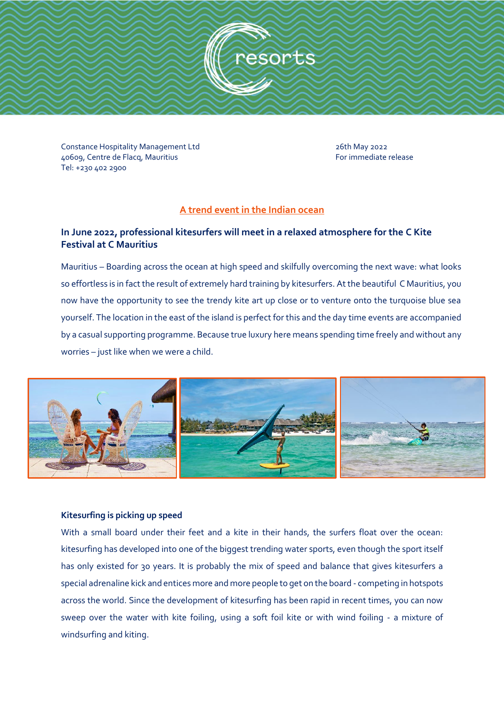

Constance Hospitality Management Ltd<br>26609. Centre de Flacq. Mauritius and 2008 and 2008 and 2008 and 2010 and 2010 and 2010 and 2010 and 2010 and 40609, Centre de Flacq, Mauritius Tel: +230 402 2900

# **A trend event in the Indian ocean**

# **In June 2022, professional kitesurfers will meet in a relaxed atmosphere for the C Kite Festival at C Mauritius**

Mauritius – Boarding across the ocean at high speed and skilfully overcoming the next wave: what looks so effortless is in fact the result of extremely hard training by kitesurfers. At the beautiful C Mauritius, you now have the opportunity to see the trendy kite art up close or to venture onto the turquoise blue sea yourself. The location in the east of the island is perfect for this and the day time events are accompanied by a casual supporting programme. Because true luxury here means spending time freely and without any worries – just like when we were a child.



### **Kitesurfing is picking up speed**

With a small board under their feet and a kite in their hands, the surfers float over the ocean: kitesurfing has developed into one of the biggest trending water sports, even though the sport itself has only existed for 30 years. It is probably the mix of speed and balance that gives kitesurfers a special adrenaline kick and entices more and more people to get on the board - competing in hotspots across the world. Since the development of kitesurfing has been rapid in recent times, you can now sweep over the water with kite foiling, using a soft foil kite or with wind foiling - a mixture of windsurfing and kiting.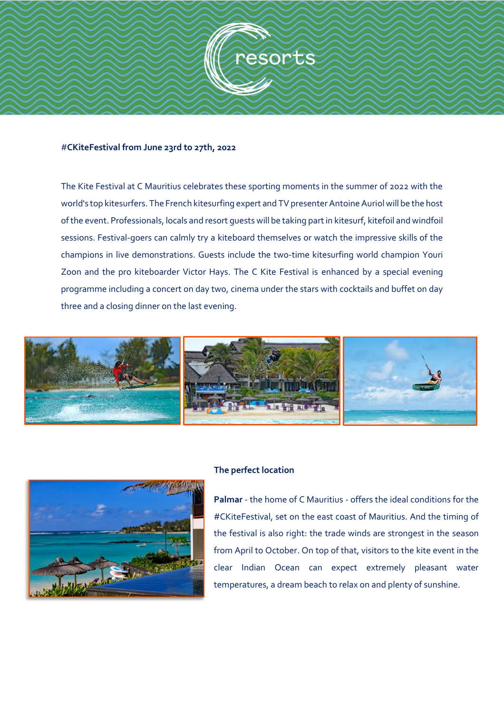

#### #**CKiteFestival from June 23rd to 27th, 2022**

The Kite Festival at C Mauritius celebrates these sporting moments in the summer of 2022 with the world's top kitesurfers. The French kitesurfing expert and TV presenter Antoine Auriol will be the host of the event. Professionals, locals and resort guests will be taking part in kitesurf, kitefoil and windfoil sessions. Festival-goers can calmly try a kiteboard themselves or watch the impressive skills of the champions in live demonstrations. Guests include the two-time kitesurfing world champion Youri Zoon and the pro kiteboarder Victor Hays. The C Kite Festival is enhanced by a special evening programme including a concert on day two, cinema under the stars with cocktails and buffet on day three and a closing dinner on the last evening.





#### **The perfect location**

**Palmar** - the home of C Mauritius - offers the ideal conditions for the #CKiteFestival, set on the east coast of Mauritius. And the timing of the festival is also right: the trade winds are strongest in the season from April to October. On top of that, visitors to the kite event in the clear Indian Ocean can expect extremely pleasant water temperatures, a dream beach to relax on and plenty of sunshine.